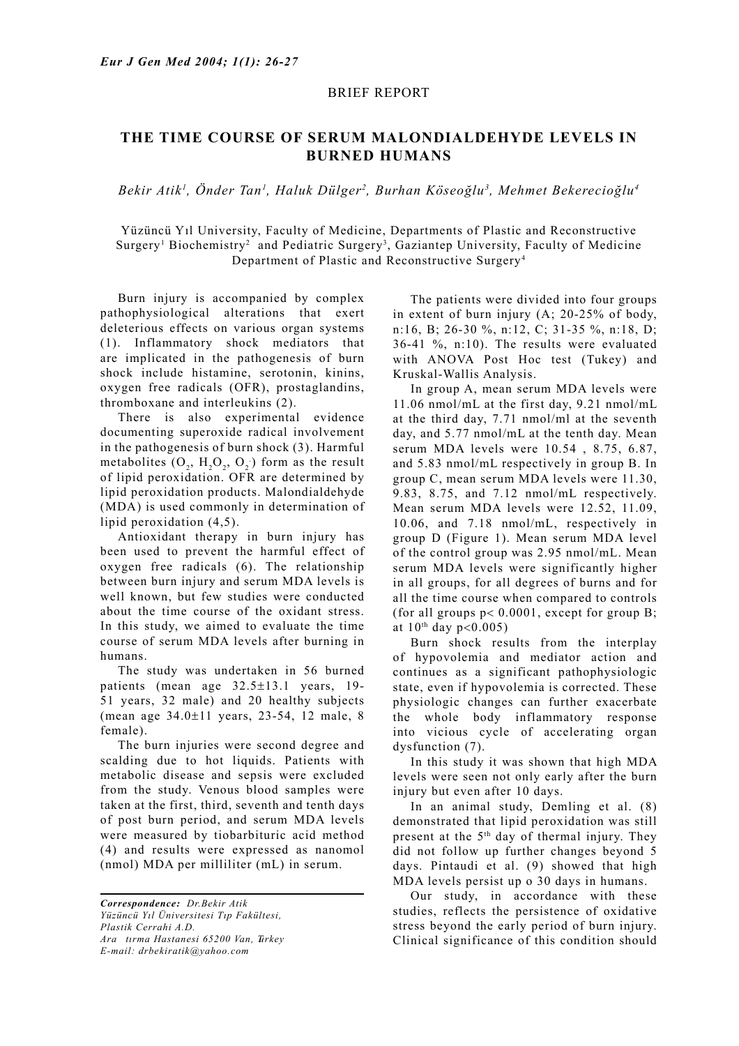## BRIEF REPORT

## **THE TIME COURSE OF SERUM MALONDIALDEHYDE LEVELS IN BURNED HUMANS**

*Bekir Atik1 , Önder Tan1 , Haluk Dülger2 , Burhan Köseoğlu3 , Mehmet Bekerecioğlu4*

Yüzüncü Yıl University, Faculty of Medicine, Departments of Plastic and Reconstructive Surgery<sup>1</sup> Biochemistry<sup>2</sup> and Pediatric Surgery<sup>3</sup>, Gaziantep University, Faculty of Medicine Department of Plastic and Reconstructive Surgery4

 Burn injury is accompanied by complex pathophysiological alterations that exert deleterious effects on various organ systems (1). Inflammatory shock mediators that are implicated in the pathogenesis of burn shock include histamine, serotonin, kinins, oxygen free radicals (OFR), prostaglandins, thromboxane and interleukins (2).

 There is also experimental evidence documenting superoxide radical involvement in the pathogenesis of burn shock (3). Harmful metabolites  $(O_2, H_2O_2, O_2)$  form as the result of lipid peroxidation. OFR are determined by lipid peroxidation products. Malondialdehyde (MDA) is used commonly in determination of lipid peroxidation (4,5).

 Antioxidant therapy in burn injury has been used to prevent the harmful effect of oxygen free radicals (6). The relationship between burn injury and serum MDA levels is well known, but few studies were conducted about the time course of the oxidant stress. In this study, we aimed to evaluate the time course of serum MDA levels after burning in humans.

 The study was undertaken in 56 burned patients (mean age 32.5±13.1 years, 19- 51 years, 32 male) and 20 healthy subjects (mean age 34.0±11 years, 23-54, 12 male, 8 female).

 The burn injuries were second degree and scalding due to hot liquids. Patients with metabolic disease and sepsis were excluded from the study. Venous blood samples were taken at the first, third, seventh and tenth days of post burn period, and serum MDA levels were measured by tiobarbituric acid method (4) and results were expressed as nanomol (nmol) MDA per milliliter (mL) in serum.

 The patients were divided into four groups in extent of burn injury (A; 20-25% of body, n:16, B; 26-30 %, n:12, C; 31-35 %, n:18, D; 36-41 %, n:10). The results were evaluated with ANOVA Post Hoc test (Tukey) and Kruskal-Wallis Analysis.

 In group A, mean serum MDA levels were 11.06 nmol/mL at the first day, 9.21 nmol/mL at the third day, 7.71 nmol/ml at the seventh day, and 5.77 nmol/mL at the tenth day. Mean serum MDA levels were 10.54 , 8.75, 6.87, and 5.83 nmol/mL respectively in group B. In group C, mean serum MDA levels were 11.30, 9.83, 8.75, and 7.12 nmol/mL respectively. Mean serum MDA levels were 12.52, 11.09, 10.06, and 7.18 nmol/mL, respectively in group D (Figure 1). Mean serum MDA level of the control group was 2.95 nmol/mL. Mean serum MDA levels were significantly higher in all groups, for all degrees of burns and for all the time course when compared to controls (for all groups  $p < 0.0001$ , except for group B; at  $10^{th}$  day p<0.005)

 Burn shock results from the interplay of hypovolemia and mediator action and continues as a significant pathophysiologic state, even if hypovolemia is corrected. These physiologic changes can further exacerbate the whole body inflammatory response into vicious cycle of accelerating organ dysfunction  $(7)$ .

 In this study it was shown that high MDA levels were seen not only early after the burn injury but even after 10 days.

 In an animal study, Demling et al. (8) demonstrated that lipid peroxidation was still present at the 5th day of thermal injury. They did not follow up further changes beyond 5 days. Pintaudi et al. (9) showed that high MDA levels persist up o 30 days in humans.

 Our study, in accordance with these studies, reflects the persistence of oxidative stress beyond the early period of burn injury. Clinical significance of this condition should

*Correspondence: Dr.Bekir Atik Yüzüncü Yıl Üniversitesi Tıp Fakültesi, Plastik Cerrahi A.D. Aratırma Hastanesi 65200 Van, Turkey E-mail: drbekiratik@yahoo.com*